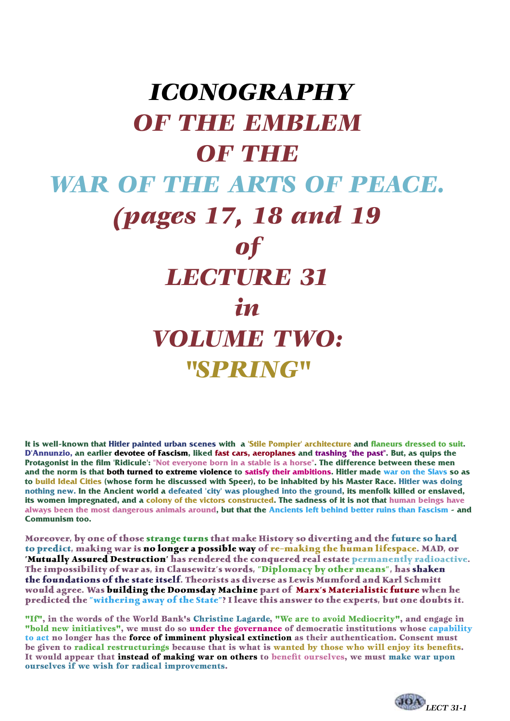# *ICONOGRAPHY*

# *OF THE EMBLEM*

#### *OF THE*

#### *WAR OF THE ARTS OF PEACE.*

## *(pages 17, 18 and 19*

### *of*

#### *LECTURE 31*

#### *in*

# *VOLUME TWO: "SPRING"*

**It is well-known that Hitler painted urban scenes with a 'Stile Pompier' architecture and flaneurs dressed to suit. D'Annunzio, an earlier devotee of Fascism, liked fast cars, aeroplanes and trashing "the past". But, as quips the Protagonist in the film 'Ridicule': "Not everyone born in a stable is a horse". The difference between these men and the norm is that both turned to extreme violence to satisfy their ambitions. Hitler made war on the Slavs so as to build Ideal Cities (whose form he discussed with Speer), to be inhabited by his Master Race. Hitler was doing nothing new. In the Ancient world a defeated 'city' was ploughed into the ground, its menfolk killed or enslaved, its women impregnated, and a colony of the victors constructed. The sadness of it is not that human beings have always been the most dangerous animals around, but that the Ancients left behind better ruins than Fascism - and Communism too.**

**Moreover, by one of those strange turns that make History so diverting and the future so hard to predict, making war is no longer a possible way of re-making the human lifespace. MAD, or 'Mutually Assured Destruction' has rendered the conquered real estate permanently radioactive. The impossibility of war as, in Clausewitz's words, "Diplomacy by other means", has shaken the foundations of the state itself. Theorists as diverse as Lewis Mumford and Karl Schmitt would agree. Was building the Doomsday Machine part of Marx's Materialistic future when he predicted the "withering away of the State"? I leave this answer to the experts, but one doubts it.**

"If", in the words of the World Bank's Christine Lagarde, "We are to avoid Mediocrity", and engage in "bold new initiatives", we must do so under the governance of democratic institutions whose capability to act no longer has the force of imminent physical extinction as their authentication. Consent must be given to radical restructurings because that is what is wanted by those who will enjoy its benefits. It would appear that instead of making war on others to benefit ourselves, we must make war upon ourselves if we wish for radical improvements.

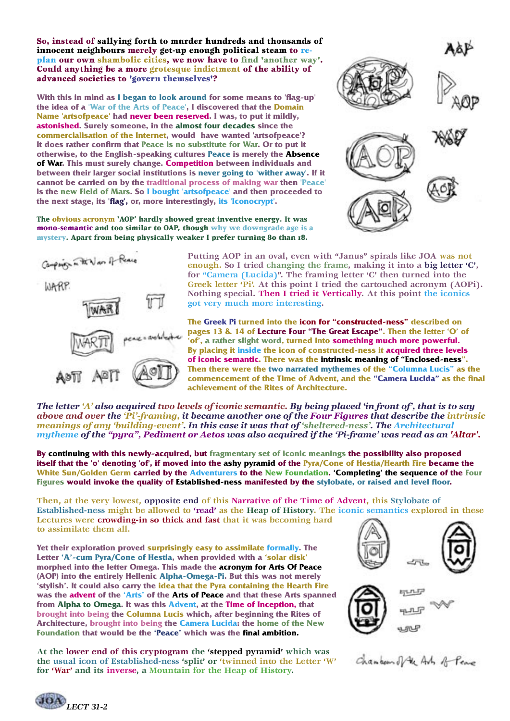So, instead of sallying forth to murder hundreds and thousands of innocent neighbours merely get-up enough political steam to replan our own shambolic cities, we now have to find 'another way'. Could anything be a more grotesque indictment of the ability of advanced societies to 'govern themselves'?

**With this in mind as I began to look around for some means to 'flag-up' the idea of a 'War of the Arts of Peace', I discovered that the Domain Name 'artsofpeace' had never been reserved. I was, to put it mildly, astonished. Surely someone, in the almost four decades since the commercialisation of the Internet, would have wanted 'artsofpeace'? It does rather confirm that Peace is no substitute for War. Or to put it otherwise, to the English-speaking cultures Peace is merely the Absence of War. This must surely change. Competition between individuals and between their larger social institutions is never going to 'wither away'. If it cannot be carried on by the traditional process of making war then 'Peace' is the new Field of Mars. So I bought 'artsofpeace' and then proceeded to the next stage, its 'flag', or, more interestingly, its 'Iconocrypt'.**

**The obvious acronym 'AOP' hardly showed great inventive energy. It was mono-semantic and too similar to OAP, though why we downgrade age is a mystery. Apart from being physically weaker I prefer turning 80 than 18.**





**Putting AOP in an oval, even with "Janus" spirals like JOA was not enough. So I tried changing the frame, making it into a big letter 'C', for "Camera (Lucida)". The framing letter 'C' then turned into the Greek letter 'Pi'. At this point I tried the cartouched acronym (AOPi). Nothing special. Then I tried it Vertically. At this point the iconics got very much more interesting.**

**The Greek Pi turned into the icon for "constructed-ness" described on pages 13 & 14 of Lecture Four "The Great Escape". Then the letter 'O' of 'of', a rather slight word, turned into something much more powerful. By placing it inside the icon of constructed-ness it acquired three levels of iconic semantic. There was the intrinsic meaning of "Enclosed-ness". Then there were the two narrated mythemes of the "Columna Lucis" as the commencement of the Time of Advent, and the "Camera Lucida" as the final achievement of the Rites of Architecture.** 

*The letter 'A' also acquired two levels of iconic semantic. By being placed 'in front of', that is to say above and over the 'Pi'-framing, it became another one of the Four Figures that describe the intrinsic meanings of any 'building-event'. In this case it was that of 'sheltered-ness'. The Architectural mytheme of the "pyra", Pediment or Aetos was also acquired if the 'Pi-frame' was read as an 'Altar'.*

**By continuing with this newly-acquired, but fragmentary set of iconic meanings the possibility also proposed itself that the 'o' denoting 'of', if moved into the ashy pyramid of the Pyra/Cone of Hestia/Hearth Fire became the White Sun/Golden Germ carried by the Adventurers to the New Foundation. 'Completing' the sequence of the Four Figures would invoke the quality of Established-ness manifested by the stylobate, or raised and level floor.**

**Then, at the very lowest, opposite end of this Narrative of the Time of Advent, this Stylobate of Established-ness might be allowed to 'read' as the Heap of History. The iconic semantics explored in these Lectures were crowding-in so thick and fast that it was becoming hard to assimilate them all.**

**Yet their exploration proved surprisingly easy to assimilate formally. The Letter 'A'-cum Pyra/Cone of Hestia, when provided with a 'solar disk' morphed into the letter Omega. This made the acronym for Arts Of Peace (AOP) into the entirely Hellenic Alpha-Omega-Pi. But this was not merely 'stylish'. It could also carry the idea that the Pyra containing the Hearth Fire was the advent of the 'Arts' of the Arts of Peace and that these Arts spanned from Alpha to Omega. It was this Advent, at the Time of Inception, that brought into being the Columna Lucis which, after beginning the Rites of Architecture, brought into being the Camera Lucida: the home of the New Foundation that would be the 'Peace' which was the final ambition.**

**At the lower end of this cryptogram the 'stepped pyramid' which was the usual icon of Established-ness 'split' or 'twinned into the Letter 'W' for 'War' and its inverse, a Mountain for the Heap of History.**





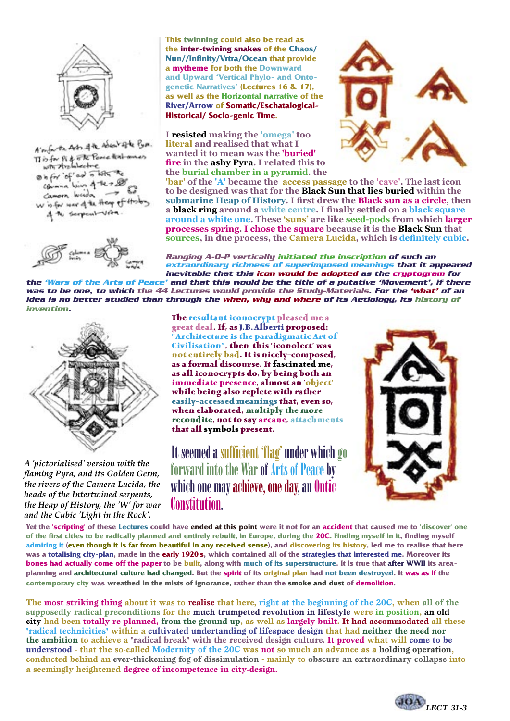

A month Astr of the Asia Vigte Pype. A myan is of the Power that must<br>with the linkeline  $\theta$  is for  $\theta$  and in later Channa him of the red camoon wooda w is for war of the Heap of History the surposit with



**This twinning could also be read as the inter-twining snakes of the Chaos/ Nun//Infinity/Vrtra/Ocean that provide a mytheme for both the Downward and Upward 'Vertical Phylo- and Ontogenetic Narratives' (Lectures 16 & 17), as well as the Horizontal narrative of the River/Arrow of Somatic/Eschatalogical-Historical/ Socio-genic Time.**

**I resisted making the 'omega' too literal and realised that what I wanted it to mean was the 'buried' fire in the ashy Pyra. I related this to the burial chamber in a pyramid. the** 



**'bar' of the 'A' became the access passage to the 'cave'. The last icon to be designed was that for the Black Sun that lies buried within the submarine Heap of History. I first drew the Black sun as a circle, then a black ring around a white centre. I finally settled on a black square around a white one. These 'suns' are like seed-pods from which larger processes spring. I chose the square because it is the Black Sun that sources, in due process, the Camera Lucida, which is definitely cubic.**

**Ranging A-O-P vertically initiated the inscription of such an extraordinary richness of superimposed meanings that it appeared inevitable that this icon would be adopted as the cryptogram for** 

**the 'Wars of the Arts of Peace' and that this would be the title of a putative 'Movement', if there was to be one, to which the 44 Lectures would provide the Study-Materials. For the 'what' of an idea is no better studied than through the when, why and where of its Aetiology, its history of invention.**



*A 'pictorialised' version with the flaming Pyra, and its Golden Germ, the rivers of the Camera Lucida, the heads of the Intertwined serpents, the Heap of History, the 'W' for war and the Cubic 'Light in the Rock'.*

**The resultant iconocrypt pleased me a great deal. If, as J.B.Alberti proposed: "Architecture is the paradigmatic Art of Civilisation", then this 'iconolect' was not entirely bad. It is nicely-composed, as a formal discourse. It fascinated me, as all iconocrypts do, by being both an immediate presence, almost an 'object' while being also replete with rather easily-accessed meanings that, even so, when elaborated, multiply the more recondite, not to say arcane, attachments that all symbols present.**

It seemed a sufficient 'flag' under which go forward into the War of Arts of Peace by which one may achieve, one day, an Ontic Constitution.



**Yet the 'scripting' of these Lectures could have ended at this point were it not for an accident that caused me to 'discover' one of the first cities to be radically planned and entirely rebuilt, in Europe, during the 20C. Finding myself in it, finding myself admiring it (even though it is far from beautiful in any received sense), and discovering its history, led me to realise that here was a totalising city-plan, made in the early 1920's, which contained all of the strategies that interested me. Moreover its bones had actually come off the paper to be built, along with much of its superstructure. It is true that after WWII its areaplanning and architectural culture had changed. But the spirit of its original plan had not been destroyed. It was as if the contemporary city was wreathed in the mists of ignorance, rather than the smoke and dust of demolition.**

**The most striking thing about it was to realise that here, right at the beginning of the 20C, when all of the supposedly radical preconditions for the much trumpeted revolution in lifestyle were in position, an old city had been totally re-planned, from the ground up, as well as largely built. It had accommodated all these 'radical technicities' within a cultivated undertanding of lifespace design that had neither the need nor the ambition to achieve a 'radical break' with the received design culture. It proved what will come to be understood - that the so-called Modernity of the 20C was not so much an advance as a holding operation, conducted behind an ever-thickening fog of dissimulation - mainly to obscure an extraordinary collapse into a seemingly heightened degree of incompetence in city-design.**